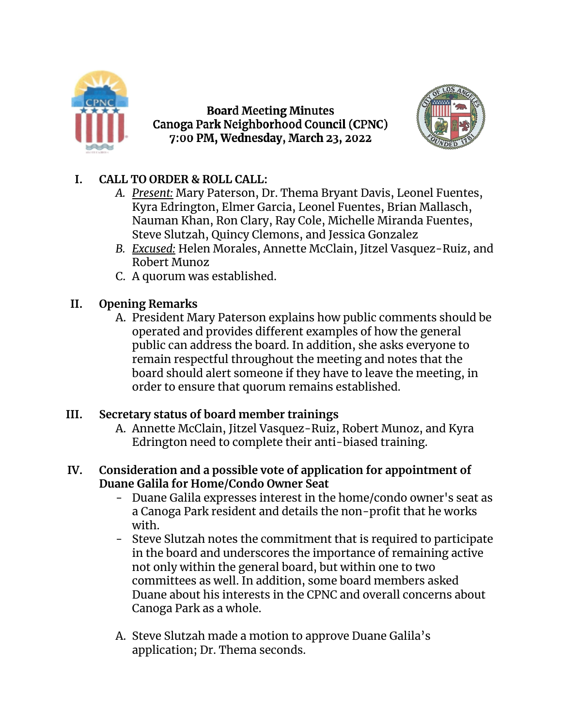

**Board Meeting Minutes** Canoga Park Neighborhood Council (CPNC) 7:00 PM, Wednesday, March 23, 2022



## **I. CALL TO ORDER & ROLL CALL:**

- *A. Present:* Mary Paterson, Dr. Thema Bryant Davis, Leonel Fuentes, Kyra Edrington, Elmer Garcia, Leonel Fuentes, Brian Mallasch, Nauman Khan, Ron Clary, Ray Cole, Michelle Miranda Fuentes, Steve Slutzah, Quincy Clemons, and Jessica Gonzalez
- *B. Excused:* Helen Morales, Annette McClain, Jitzel Vasquez-Ruiz, and Robert Munoz
- C. A quorum was established.

# **II. Opening Remarks**

A. President Mary Paterson explains how public comments should be operated and provides different examples of how the general public can address the board. In addition, she asks everyone to remain respectful throughout the meeting and notes that the board should alert someone if they have to leave the meeting, in order to ensure that quorum remains established.

### **III. Secretary status of board member trainings**

A. Annette McClain, Jitzel Vasquez-Ruiz, Robert Munoz, and Kyra Edrington need to complete their anti-biased training.

### **IV. Consideration and a possible vote of application for appointment of Duane Galila for Home/Condo Owner Seat**

- Duane Galila expresses interest in the home/condo owner's seat as a Canoga Park resident and details the non-profit that he works with.
- Steve Slutzah notes the commitment that is required to participate in the board and underscores the importance of remaining active not only within the general board, but within one to two committees as well. In addition, some board members asked Duane about his interests in the CPNC and overall concerns about Canoga Park as a whole.
- A. Steve Slutzah made a motion to approve Duane Galila's application; Dr. Thema seconds.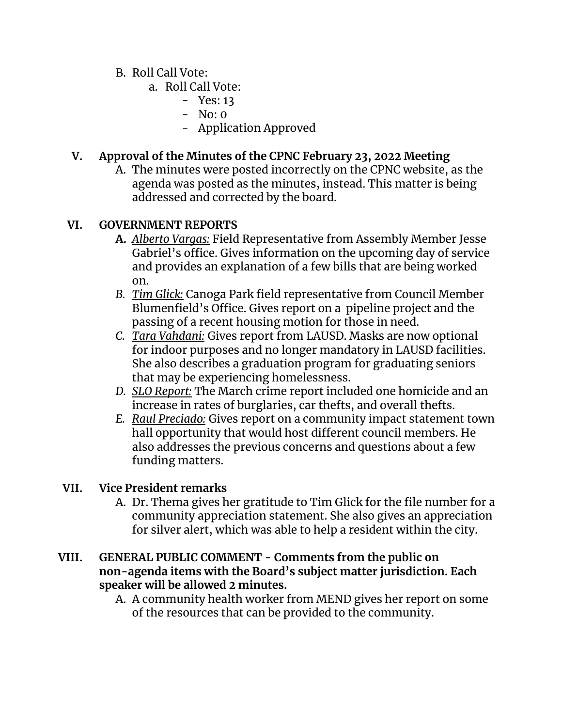## B. Roll Call Vote:

- a. Roll Call Vote:
	- Yes: 13
	- No: 0
	- Application Approved

# **V. Approval of the Minutes of the CPNC February 23, 2022 Meeting**

A. The minutes were posted incorrectly on the CPNC website, as the agenda was posted as the minutes, instead. This matter is being addressed and corrected by the board.

### **VI. GOVERNMENT REPORTS**

- **A.** *Alberto Vargas:* Field Representative from Assembly Member Jesse Gabriel's office. Gives information on the upcoming day of service and provides an explanation of a few bills that are being worked on.
- *B. Tim Glick:* Canoga Park field representative from Council Member Blumenfield's Office. Gives report on a pipeline project and the passing of a recent housing motion for those in need.
- *C. Tara Vahdani:* Gives report from LAUSD. Masks are now optional for indoor purposes and no longer mandatory in LAUSD facilities. She also describes a graduation program for graduating seniors that may be experiencing homelessness.
- *D. SLO Report:* The March crime report included one homicide and an increase in rates of burglaries, car thefts, and overall thefts.
- *E. Raul Preciado:* Gives report on a community impact statement town hall opportunity that would host different council members. He also addresses the previous concerns and questions about a few funding matters.

### **VII. Vice President remarks**

A. Dr. Thema gives her gratitude to Tim Glick for the file number for a community appreciation statement. She also gives an appreciation for silver alert, which was able to help a resident within the city.

### **VIII. GENERAL PUBLIC COMMENT - Comments from the public on non-agenda items with the Board's subject matter jurisdiction. Each speaker will be allowed 2 minutes.**

A. A community health worker from MEND gives her report on some of the resources that can be provided to the community.